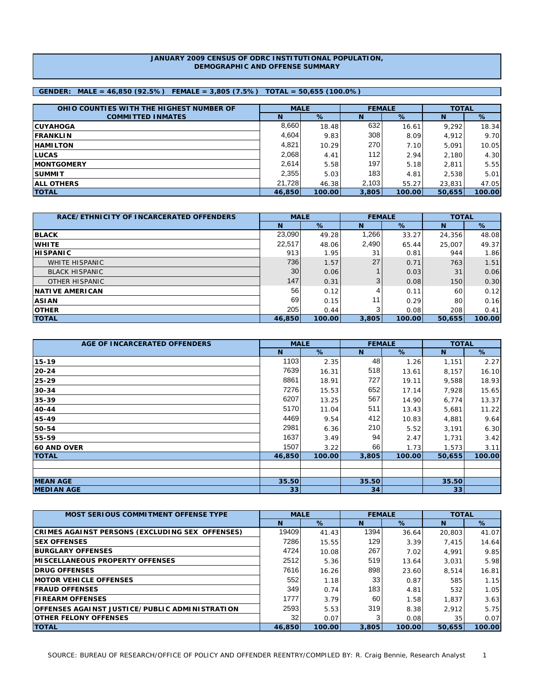### **JANUARY 2009 CENSUS OF ODRC INSTITUTIONAL POPULATION, DEMOGRAPHIC AND OFFENSE SUMMARY**

## **GENDER: MALE = 46,850 (92.5%) FEMALE = 3,805 (7.5%) TOTAL = 50,655 (100.0%)**

| OHIO COUNTIES WITH THE HIGHEST NUMBER OF | <b>MALE</b> |        |       | <b>FEMALE</b> | <b>TOTAL</b> |        |  |
|------------------------------------------|-------------|--------|-------|---------------|--------------|--------|--|
| <b>COMMITTED INMATES</b>                 | Ν           | %      | N     | %             | N            | %      |  |
| <b>ICUYAHOGA</b>                         | 8,660       | 18.48  | 632   | 16.61         | 9.292        | 18.34  |  |
| <b>IFRANKLIN</b>                         | 4,604       | 9.83   | 308   | 8.09          | 4.912        | 9.70   |  |
| <b>HAMILTON</b>                          | 4,821       | 10.29  | 270   | 7.10          | 5.091        | 10.05  |  |
| <b>ILUCAS</b>                            | 2,068       | 4.41   | 112   | 2.94          | 2,180        | 4.30   |  |
| <b>IMONTGOMERY</b>                       | 2,614       | 5.58   | 197   | 5.18          | 2.811        | 5.55   |  |
| <b>ISUMMIT</b>                           | 2,355       | 5.03   | 183   | 4.81          | 2,538        | 5.01   |  |
| <b>JALL OTHERS</b>                       | 21.728      | 46.38  | 2,103 | 55.27         | 23,831       | 47.05  |  |
| <b>TOTAL</b>                             | 46,850      | 100.00 | 3,805 | 100.00        | 50,655       | 100.00 |  |

| RACE/ETHNICITY OF INCARCERATED OFFENDERS | <b>MALE</b> |        |       | <b>FEMALE</b> | <b>TOTAL</b> |        |  |
|------------------------------------------|-------------|--------|-------|---------------|--------------|--------|--|
|                                          | N           | %      | N     | %             | N            | %      |  |
| <b>BLACK</b>                             | 23,090      | 49.28  | 1,266 | 33.27         | 24,356       | 48.08  |  |
| <b>WHITE</b>                             | 22,517      | 48.06  | 2,490 | 65.44         | 25,007       | 49.37  |  |
| <b>HISPANIC</b>                          | 913         | 1.95   | 31    | 0.81          | 944          | 1.86   |  |
| <b>WHITE HISPANIC</b>                    | 736         | 1.57   | 27    | 0.71          | 763          | 1.51   |  |
| <b>BLACK HISPANIC</b>                    | 30          | 0.06   |       | 0.03          | 31           | 0.06   |  |
| OTHER HISPANIC                           | 147         | 0.31   | 3     | 0.08          | 150          | 0.30   |  |
| <b>INATIVE AMERICAN</b>                  | 56          | 0.12   |       | 0.11          | 60           | 0.12   |  |
| <b>ASIAN</b>                             | 69          | 0.15   |       | 0.29          | 80           | 0.16   |  |
| <b>OTHER</b>                             | 205         | 0.44   |       | 0.08          | 208          | 0.41   |  |
| <b>TOTAL</b>                             | 46,850      | 100.00 | 3,805 | 100.00        | 50,655       | 100.00 |  |

| AGE OF INCARCERATED OFFENDERS | <b>MALE</b> |        | <b>FEMALE</b> |        | <b>TOTAL</b> |        |  |
|-------------------------------|-------------|--------|---------------|--------|--------------|--------|--|
|                               | N           | %      | N             | %      | N            | %      |  |
| 15-19                         | 1103        | 2.35   | 48            | 1.26   | 1,151        | 2.27   |  |
| 20-24                         | 7639        | 16.31  | 518           | 13.61  | 8,157        | 16.10  |  |
| 25-29                         | 8861        | 18.91  | 727           | 19.11  | 9,588        | 18.93  |  |
| $ 30-34 $                     | 7276        | 15.53  | 652           | 17.14  | 7,928        | 15.65  |  |
| 35-39                         | 6207        | 13.25  | 567           | 14.90  | 6,774        | 13.37  |  |
| 40-44                         | 5170        | 11.04  | 511           | 13.43  | 5,681        | 11.22  |  |
| 45-49                         | 4469        | 9.54   | 412           | 10.83  | 4,881        | 9.64   |  |
| 50-54                         | 2981        | 6.36   | 210           | 5.52   | 3,191        | 6.30   |  |
| 55-59                         | 1637        | 3.49   | 94            | 2.47   | 1,731        | 3.42   |  |
| <b>60 AND OVER</b>            | 1507        | 3.22   | 66            | 1.73   | 1,573        | 3.11   |  |
| <b>TOTAL</b>                  | 46,850      | 100.00 | 3,805         | 100.00 | 50,655       | 100.00 |  |
|                               |             |        |               |        |              |        |  |
|                               |             |        |               |        |              |        |  |
| <b>MEAN AGE</b>               | 35.50       |        | 35.50         |        | 35.50        |        |  |
| <b>MEDIAN AGE</b>             | 33          |        | 34            |        | 33           |        |  |

| <b>MOST SERIOUS COMMITMENT OFFENSE TYPE</b>     | <b>MALE</b> |        | <b>FEMALE</b> |        | <b>TOTAL</b> |        |
|-------------------------------------------------|-------------|--------|---------------|--------|--------------|--------|
|                                                 | <b>N</b>    | %      | N             | $\%$   | N            | %      |
| CRIMES AGAINST PERSONS (EXCLUDING SEX OFFENSES) | 19409       | 41.43  | 1394          | 36.64  | 20,803       | 41.07  |
| <b>ISEX OFFENSES</b>                            | 7286        | 15.55  | 129           | 3.39   | 7.415        | 14.64  |
| <b>BURGLARY OFFENSES</b>                        | 4724        | 10.08  | 267           | 7.02   | 4.991        | 9.85   |
| <b>IMISCELLANEOUS PROPERTY OFFENSES</b>         | 2512        | 5.36   | 519           | 13.64  | 3.031        | 5.98   |
| <b>DRUG OFFENSES</b>                            | 7616        | 16.26  | 898           | 23.60  | 8.514        | 16.81  |
| <b>IMOTOR VEHICLE OFFENSES</b>                  | 552         | 1.18   | 33            | 0.87   | 585          | 1.15   |
| <b>IFRAUD OFFENSES</b>                          | 349         | 0.74   | 183           | 4.81   | 532          | 1.05   |
| <b>FIREARM OFFENSES</b>                         | 1777        | 3.79   | 60            | 1.58   | 1.837        | 3.63   |
| OFFENSES AGAINST JUSTICE/PUBLIC ADMINISTRATION  | 2593        | 5.53   | 319           | 8.38   | 2.912        | 5.75   |
| <b>IOTHER FELONY OFFENSES</b>                   | 32          | 0.07   |               | 0.08   | 35           | 0.07   |
| <b>TOTAL</b>                                    | 46,850      | 100.00 | 3,805         | 100.00 | 50.655       | 100.00 |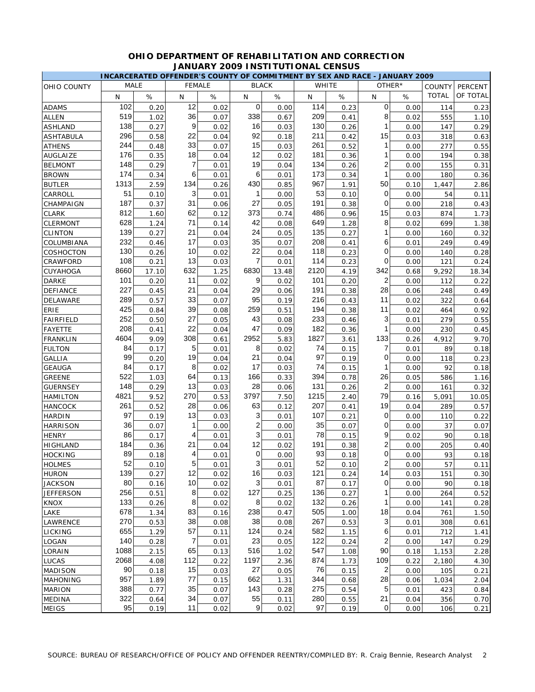|                  | INCARCERATED OFFENDER'S COUNTY OF COMMITMENT BY SEX AND RACE - JANUARY 2009 |       |                |               |                |              |              |      |                |        |               |          |
|------------------|-----------------------------------------------------------------------------|-------|----------------|---------------|----------------|--------------|--------------|------|----------------|--------|---------------|----------|
| OHIO COUNTY      | <b>MALE</b>                                                                 |       |                | <b>FEMALE</b> |                | <b>BLACK</b> | <b>WHITE</b> |      |                | OTHER* | <b>COUNTY</b> | PERCENT  |
|                  | $\mathsf{N}$                                                                | $\%$  | N              | $\%$          | N              | $\%$         | $\mathsf{N}$ | $\%$ | N              | %      | <b>TOTAL</b>  | OF TOTAL |
| <b>ADAMS</b>     | 102                                                                         | 0.20  | 12             | 0.02          | 0              | 0.00         | 114          | 0.23 | 0              | 0.00   | 114           | 0.23     |
| <b>ALLEN</b>     | 519                                                                         | 1.02  | 36             | 0.07          | 338            | 0.67         | 209          | 0.41 | 8              | 0.02   | 555           | 1.10     |
| <b>ASHLAND</b>   | 138                                                                         | 0.27  | 9              | 0.02          | 16             | 0.03         | 130          | 0.26 | 1              | 0.00   | 147           | 0.29     |
| <b>ASHTABULA</b> | 296                                                                         | 0.58  | 22             | 0.04          | 92             | 0.18         | 211          | 0.42 | 15             | 0.03   | 318           | 0.63     |
| <b>ATHENS</b>    | 244                                                                         | 0.48  | 33             | 0.07          | 15             | 0.03         | 261          | 0.52 | 1              | 0.00   | 277           | 0.55     |
| AUGLAIZE         | 176                                                                         | 0.35  | 18             | 0.04          | 12             | 0.02         | 181          | 0.36 | 1              | 0.00   | 194           | 0.38     |
| <b>BELMONT</b>   | 148                                                                         | 0.29  | 7              | 0.01          | 19             | 0.04         | 134          | 0.26 | $\overline{2}$ | 0.00   | 155           | 0.31     |
| <b>BROWN</b>     | 174                                                                         | 0.34  | 6              | 0.01          | 6              | 0.01         | 173          | 0.34 | 1              | 0.00   | 180           | 0.36     |
| <b>BUTLER</b>    | 1313                                                                        | 2.59  | 134            | 0.26          | 430            | 0.85         | 967          | 1.91 | 50             | 0.10   | 1,447         | 2.86     |
| CARROLL          | 51                                                                          | 0.10  | 3              | 0.01          | 1              | 0.00         | 53           | 0.10 | 0              | 0.00   | 54            | 0.11     |
| CHAMPAIGN        | 187                                                                         | 0.37  | 31             | 0.06          | 27             | 0.05         | 191          | 0.38 | 0              | 0.00   | 218           | 0.43     |
| <b>CLARK</b>     | 812                                                                         | 1.60  | 62             | 0.12          | 373            | 0.74         | 486          | 0.96 | 15             | 0.03   | 874           | 1.73     |
| CLERMONT         | 628                                                                         | 1.24  | 71             | 0.14          | 42             | 0.08         | 649          | 1.28 | 8              | 0.02   | 699           | 1.38     |
| <b>CLINTON</b>   | 139                                                                         | 0.27  | 21             | 0.04          | 24             | 0.05         | 135          | 0.27 | 1              | 0.00   | 160           | 0.32     |
| COLUMBIANA       | 232                                                                         | 0.46  | 17             | 0.03          | 35             | 0.07         | 208          | 0.41 | 6              | 0.01   | 249           | 0.49     |
| COSHOCTON        | 130                                                                         | 0.26  | 10             | 0.02          | 22             | 0.04         | 118          | 0.23 | 0              | 0.00   | 140           | 0.28     |
| CRAWFORD         | 108                                                                         | 0.21  | 13             | 0.03          | 7              | 0.01         | 114          | 0.23 | 0              | 0.00   | 121           | 0.24     |
| CUYAHOGA         | 8660                                                                        | 17.10 | 632            | 1.25          | 6830           | 13.48        | 2120         | 4.19 | 342            | 0.68   | 9,292         | 18.34    |
| DARKE            | 101                                                                         | 0.20  | 11             | 0.02          | 9              | 0.02         | 101          | 0.20 | $\overline{2}$ | 0.00   | 112           | 0.22     |
| DEFIANCE         | 227                                                                         | 0.45  | 21             | 0.04          | 29             | 0.06         | 191          | 0.38 | 28             | 0.06   | 248           | 0.49     |
| DELAWARE         | 289                                                                         | 0.57  | 33             | 0.07          | 95             | 0.19         | 216          | 0.43 | 11             | 0.02   | 322           | 0.64     |
| ERIE             | 425                                                                         | 0.84  | 39             | 0.08          | 259            | 0.51         | 194          | 0.38 | 11             | 0.02   | 464           | 0.92     |
| FAIRFIELD        | 252                                                                         | 0.50  | 27             | 0.05          | 43             | 0.08         | 233          | 0.46 | 3              | 0.01   | 279           | 0.55     |
| FAYETTE          | 208                                                                         | 0.41  | 22             | 0.04          | 47             | 0.09         | 182          | 0.36 | 1              | 0.00   | 230           | 0.45     |
| FRANKLIN         | 4604                                                                        | 9.09  | 308            | 0.61          | 2952           | 5.83         | 1827         | 3.61 | 133            | 0.26   | 4,912         | 9.70     |
| <b>FULTON</b>    | 84                                                                          | 0.17  | 5              | 0.01          | 8              | 0.02         | 74           | 0.15 | 7              | 0.01   | 89            | 0.18     |
| <b>GALLIA</b>    | 99                                                                          | 0.20  | 19             | 0.04          | 21             | 0.04         | 97           | 0.19 | 0              | 0.00   | 118           | 0.23     |
| <b>GEAUGA</b>    | 84                                                                          | 0.17  | 8              | 0.02          | 17             | 0.03         | 74           | 0.15 | 1              | 0.00   | 92            | 0.18     |
| <b>GREENE</b>    | 522                                                                         | 1.03  | 64             | 0.13          | 166            | 0.33         | 394          | 0.78 | 26             | 0.05   | 586           | 1.16     |
| <b>GUERNSEY</b>  | 148                                                                         | 0.29  | 13             | 0.03          | 28             | 0.06         | 131          | 0.26 | $\overline{2}$ | 0.00   | 161           | 0.32     |
| HAMILTON         | 4821                                                                        | 9.52  | 270            | 0.53          | 3797           | 7.50         | 1215         | 2.40 | 79             | 0.16   | 5,091         | 10.05    |
| <b>HANCOCK</b>   | 261                                                                         | 0.52  | 28             | 0.06          | 63             | 0.12         | 207          | 0.41 | 19             | 0.04   | 289           | 0.57     |
| <b>HARDIN</b>    | 97                                                                          | 0.19  | 13             | 0.03          | 3              | 0.01         | 107          | 0.21 | 0              | 0.00   | 110           | 0.22     |
| HARRISON         | 36                                                                          | 0.07  | 1              | 0.00          | $\overline{2}$ | 0.00         | 35           | 0.07 | 0              | 0.00   | 37            | 0.07     |
| <b>HENRY</b>     | 86                                                                          | 0.17  | 4              | 0.01          | 3              | 0.01         | 78           | 0.15 | 9              | 0.02   | 90            | 0.18     |
| <b>HIGHLAND</b>  | 184                                                                         | 0.36  | 21             | 0.04          | 12             | 0.02         | 191          | 0.38 | $\overline{c}$ | 0.00   | 205           | 0.40     |
| <b>HOCKING</b>   | 89                                                                          | 0.18  | 4              | 0.01          | 0              | 0.00         | 93           | 0.18 | 0              | 0.00   | 93            | 0.18     |
| <b>HOLMES</b>    | 52                                                                          | 0.10  | $\sqrt{5}$     | 0.01          | $\mathbf{3}$   | 0.01         | 52           | 0.10 | $\mathbf{2}$   | 0.00   | 57            | 0.11     |
| <b>HURON</b>     | 139                                                                         | 0.27  | 12             | 0.02          | 16             | 0.03         | 121          | 0.24 | 14             | 0.03   | 151           | 0.30     |
| <b>JACKSON</b>   | 80                                                                          | 0.16  | 10             | 0.02          | $\mathbf{3}$   | 0.01         | 87           | 0.17 | 0              | 0.00   | 90            | 0.18     |
| <b>JEFFERSON</b> | 256                                                                         | 0.51  | 8              | 0.02          | 127            | 0.25         | 136          | 0.27 | 1              | 0.00   | 264           | 0.52     |
| <b>KNOX</b>      | 133                                                                         | 0.26  | 8              | 0.02          | 8              | 0.02         | 132          | 0.26 | 1              | 0.00   | 141           | 0.28     |
| LAKE             | 678                                                                         | 1.34  | 83             | 0.16          | 238            | 0.47         | 505          | 1.00 | 18             | 0.04   | 761           | 1.50     |
| LAWRENCE         | 270                                                                         | 0.53  | 38             | 0.08          | 38             | 0.08         | 267          | 0.53 | 3              | 0.01   | 308           | 0.61     |
| LICKING          | 655                                                                         | 1.29  | 57             | 0.11          | 124            | 0.24         | 582          | 1.15 | 6              | 0.01   | 712           | 1.41     |
| LOGAN            | 140                                                                         | 0.28  | $\overline{7}$ | 0.01          | 23             | 0.05         | 122          | 0.24 | 2              | 0.00   | 147           | 0.29     |
| LORAIN           | 1088                                                                        | 2.15  | 65             | 0.13          | 516            | 1.02         | 547          | 1.08 | 90             | 0.18   | 1,153         | 2.28     |
| LUCAS            | 2068                                                                        | 4.08  | 112            | 0.22          | 1197           | 2.36         | 874          | 1.73 | 109            | 0.22   | 2,180         | 4.30     |
| <b>MADISON</b>   | 90                                                                          | 0.18  | 15             | 0.03          | 27             | 0.05         | 76           | 0.15 | 2              | 0.00   | 105           | 0.21     |
| MAHONING         | 957                                                                         | 1.89  | 77             | 0.15          | 662            | 1.31         | 344          | 0.68 | 28             | 0.06   | 1,034         | 2.04     |
| <b>MARION</b>    | 388                                                                         | 0.77  | 35             | 0.07          | 143            | 0.28         | 275          | 0.54 | 5              | 0.01   | 423           | 0.84     |
| <b>MEDINA</b>    | 322                                                                         | 0.64  | 34             | 0.07          | 55             | 0.11         | 280          | 0.55 | 21             | 0.04   | 356           | 0.70     |
| <b>MEIGS</b>     | 95                                                                          | 0.19  | 11             | 0.02          | $9\,$          | 0.02         | 97           | 0.19 | $\overline{0}$ | 0.00   | 106           | 0.21     |

## **OHIO DEPARTMENT OF REHABILITATION AND CORRECTION JANUARY 2009 INSTITUTIONAL CENSUS**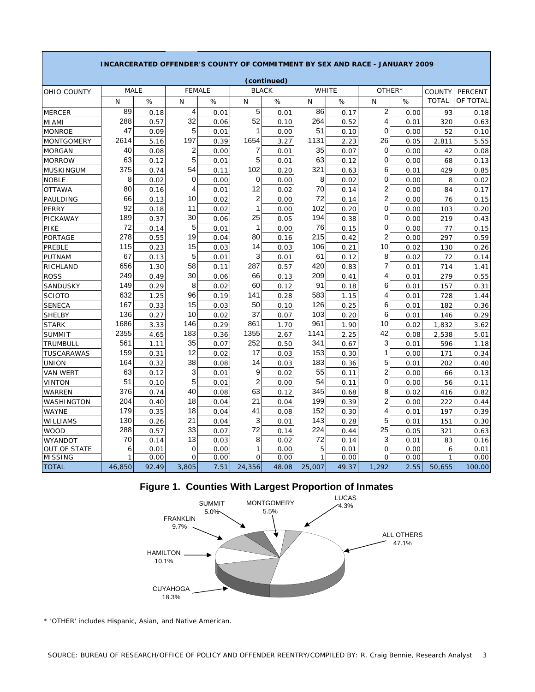|                     |             |       |                |      |                | (continued) |              |       |                |      |               |          |
|---------------------|-------------|-------|----------------|------|----------------|-------------|--------------|-------|----------------|------|---------------|----------|
| OHIO COUNTY         | <b>MALE</b> |       | <b>FEMALE</b>  |      | <b>BLACK</b>   |             | WHITE        |       | OTHER*         |      | <b>COUNTY</b> | PERCENT  |
|                     | N           | %     | N              | %    | N              | %           | N            | %     | N              | %    | <b>TOTAL</b>  | OF TOTAL |
| <b>MERCER</b>       | 89          | 0.18  | 4              | 0.01 | 5              | 0.01        | 86           | 0.17  | $\overline{2}$ | 0.00 | 93            | 0.18     |
| MIAMI               | 288         | 0.57  | 32             | 0.06 | 52             | 0.10        | 264          | 0.52  | 4              | 0.01 | 320           | 0.63     |
| <b>MONROE</b>       | 47          | 0.09  | 5              | 0.01 | 1              | 0.00        | 51           | 0.10  | 0              | 0.00 | 52            | 0.10     |
| <b>MONTGOMERY</b>   | 2614        | 5.16  | 197            | 0.39 | 1654           | 3.27        | 1131         | 2.23  | 26             | 0.05 | 2,811         | 5.55     |
| <b>MORGAN</b>       | 40          | 0.08  | 2              | 0.00 | $\overline{7}$ | 0.01        | 35           | 0.07  | $\mathbf 0$    | 0.00 | 42            | 0.08     |
| <b>MORROW</b>       | 63          | 0.12  | 5              | 0.01 | 5              | 0.01        | 63           | 0.12  | 0              | 0.00 | 68            | 0.13     |
| MUSKINGUM           | 375         | 0.74  | 54             | 0.11 | 102            | 0.20        | 321          | 0.63  | 6              | 0.01 | 429           | 0.85     |
| <b>NOBLE</b>        | 8           | 0.02  | 0              | 0.00 | 0              | 0.00        | 8            | 0.02  | 0              | 0.00 | 8             | 0.02     |
| <b>OTTAWA</b>       | 80          | 0.16  | 4              | 0.01 | 12             | 0.02        | 70           | 0.14  | $\overline{c}$ | 0.00 | 84            | 0.17     |
| PAULDING            | 66          | 0.13  | 10             | 0.02 | $\overline{2}$ | 0.00        | 72           | 0.14  | $\overline{2}$ | 0.00 | 76            | 0.15     |
| <b>PERRY</b>        | 92          | 0.18  | 11             | 0.02 | 1              | 0.00        | 102          | 0.20  | 0              | 0.00 | 103           | 0.20     |
| PICKAWAY            | 189         | 0.37  | 30             | 0.06 | 25             | 0.05        | 194          | 0.38  | 0              | 0.00 | 219           | 0.43     |
| PIKE                | 72          | 0.14  | 5              | 0.01 | 1              | 0.00        | 76           | 0.15  | 0              | 0.00 | 77            | 0.15     |
| PORTAGE             | 278         | 0.55  | 19             | 0.04 | 80             | 0.16        | 215          | 0.42  | 2              | 0.00 | 297           | 0.59     |
| PREBLE              | 115         | 0.23  | 15             | 0.03 | 14             | 0.03        | 106          | 0.21  | 10             | 0.02 | 130           | 0.26     |
| <b>PUTNAM</b>       | 67          | 0.13  | 5              | 0.01 | 3              | 0.01        | 61           | 0.12  | 8              | 0.02 | 72            | 0.14     |
| RICHLAND            | 656         | 1.30  | 58             | 0.11 | 287            | 0.57        | 420          | 0.83  | 7              | 0.01 | 714           | 1.41     |
| ROSS                | 249         | 0.49  | 30             | 0.06 | 66             | 0.13        | 209          | 0.41  | 4              | 0.01 | 279           | 0.55     |
| SANDUSKY            | 149         | 0.29  | 8              | 0.02 | 60             | 0.12        | 91           | 0.18  | 6              | 0.01 | 157           | 0.31     |
| <b>SCIOTO</b>       | 632         | 1.25  | 96             | 0.19 | 141            | 0.28        | 583          | 1.15  | 4              | 0.01 | 728           | 1.44     |
| <b>SENECA</b>       | 167         | 0.33  | 15             | 0.03 | 50             | 0.10        | 126          | 0.25  | 6              | 0.01 | 182           | 0.36     |
| <b>SHELBY</b>       | 136         | 0.27  | 10             | 0.02 | 37             | 0.07        | 103          | 0.20  | 6              | 0.01 | 146           | 0.29     |
| <b>STARK</b>        | 1686        | 3.33  | 146            | 0.29 | 861            | 1.70        | 961          | 1.90  | 10             | 0.02 | 1,832         | 3.62     |
| <b>SUMMIT</b>       | 2355        | 4.65  | 183            | 0.36 | 1355           | 2.67        | 1141         | 2.25  | 42             | 0.08 | 2,538         | 5.01     |
| TRUMBULL            | 561         | 1.11  | 35             | 0.07 | 252            | 0.50        | 341          | 0.67  | 3              | 0.01 | 596           | 1.18     |
| TUSCARAWAS          | 159         | 0.31  | 12             | 0.02 | 17             | 0.03        | 153          | 0.30  | 1              | 0.00 | 171           | 0.34     |
| <b>UNION</b>        | 164         | 0.32  | 38             | 0.08 | 14             | 0.03        | 183          | 0.36  | 5              | 0.01 | 202           | 0.40     |
| VAN WERT            | 63          | 0.12  | 3              | 0.01 | 9              | 0.02        | 55           | 0.11  | 2              | 0.00 | 66            | 0.13     |
| VINTON              | 51          | 0.10  | 5              | 0.01 | $\overline{c}$ | 0.00        | 54           | 0.11  | 0              | 0.00 | 56            | 0.11     |
| WARREN              | 376         | 0.74  | 40             | 0.08 | 63             | 0.12        | 345          | 0.68  | 8              | 0.02 | 416           | 0.82     |
| WASHINGTON          | 204         | 0.40  | 18             | 0.04 | 21             | 0.04        | 199          | 0.39  | 2              | 0.00 | 222           | 0.44     |
| <b>WAYNE</b>        | 179         | 0.35  | 18             | 0.04 | 41             | 0.08        | 152          | 0.30  | 4              | 0.01 | 197           | 0.39     |
| WILLIAMS            | 130         | 0.26  | 21             | 0.04 | 3              | 0.01        | 143          | 0.28  | 5              | 0.01 | 151           | 0.30     |
| <b>WOOD</b>         | 288         | 0.57  | 33             | 0.07 | 72             | 0.14        | 224          | 0.44  | 25             | 0.05 | 321           | 0.63     |
| WYANDOT             | 70          | 0.14  | 13             | 0.03 | 8              | 0.02        | 72           | 0.14  | 3              | 0.01 | 83            | 0.16     |
| <b>OUT OF STATE</b> | 6           | 0.01  | $\overline{O}$ | 0.00 | 1              | 0.00        | 5            | 0.01  | $\Omega$       | 0.00 | 6             | 0.01     |
| <b>MISSING</b>      | 1           | 0.00  | 0              | 0.00 | 0              | 0.00        | $\mathbf{1}$ | 0.00  | 0              | 0.00 | 1             | 0.00     |
| <b>TOTAL</b>        | 46,850      | 92.49 | 3,805          | 7.51 | 24,356         | 48.08       | 25,007       | 49.37 | 1,292          | 2.55 | 50,655        | 100.00   |

## **INCARCERATED OFFENDER'S COUNTY OF COMMITMENT BY SEX AND RACE - JANUARY 2009**

**Figure 1. Counties With Largest Proportion of Inmates**



\* 'OTHER' includes Hispanic, Asian, and Native American.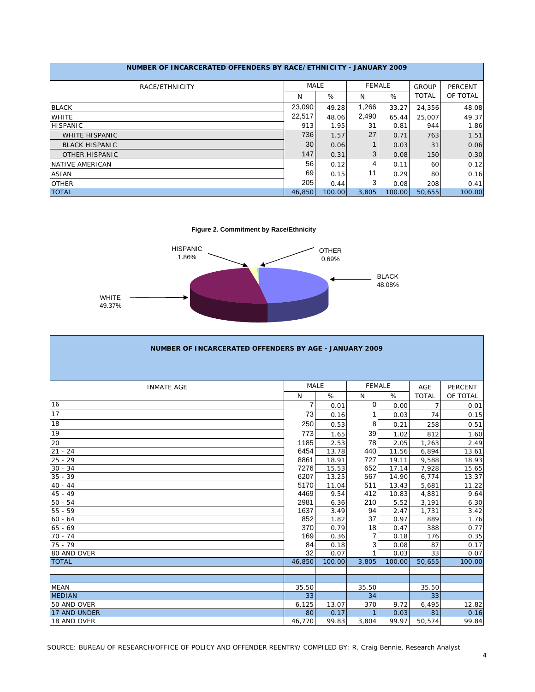| NUMBER OF INCARCERATED OFFENDERS BY RACE/ETHNICITY - JANUARY 2009 |        |             |               |        |              |                |
|-------------------------------------------------------------------|--------|-------------|---------------|--------|--------------|----------------|
| RACE/ETHNICITY                                                    |        | <b>MALE</b> | <b>FEMALE</b> |        | GROUP        | <b>PERCENT</b> |
|                                                                   | N      | %           | N             | %      | <b>TOTAL</b> | OF TOTAL       |
| <b>BLACK</b>                                                      | 23,090 | 49.28       | 1,266         | 33.27  | 24,356       | 48.08          |
| <b>WHITE</b>                                                      | 22,517 | 48.06       | 2,490         | 65.44  | 25,007       | 49.37          |
| <b>HISPANIC</b>                                                   | 913    | 1.95        | 31            | 0.81   | 944          | 1.86           |
| <b>WHITE HISPANIC</b>                                             | 736    | 1.57        | 27            | 0.71   | 763          | 1.51           |
| <b>BLACK HISPANIC</b>                                             | 30     | 0.06        |               | 0.03   | 31           | 0.06           |
| <b>OTHER HISPANIC</b>                                             | 147    | 0.31        | 3             | 0.08   | 150          | 0.30           |
| NATIVE AMERICAN                                                   | 56     | 0.12        | 4             | 0.11   | 60           | 0.12           |
| <b>ASIAN</b>                                                      | 69     | 0.15        | 11            | 0.29   | 80           | 0.16           |
| <b>OTHER</b>                                                      | 205    | 0.44        | 3             | 0.08   | 208          | 0.41           |
| <b>TOTAL</b>                                                      | 46,850 | 100.00      | 3.805         | 100.00 | 50.655       | 100.00         |

**Figure 2. Commitment by Race/Ethnicity**



| NUMBER OF INCARCERATED OFFENDERS BY AGE - JANUARY 2009 |             |        |               |        |                |          |
|--------------------------------------------------------|-------------|--------|---------------|--------|----------------|----------|
|                                                        |             |        |               |        |                |          |
|                                                        |             |        |               |        |                |          |
| <b>INMATE AGE</b>                                      | <b>MALE</b> |        | <b>FEMALE</b> |        | AGE            | PERCENT  |
|                                                        | N           | %      | N             | %      | <b>TOTAL</b>   | OF TOTAL |
| 16                                                     | 7           | 0.01   | 0             | 0.00   | $\overline{7}$ | 0.01     |
| 17                                                     | 73          | 0.16   |               | 0.03   | 74             | 0.15     |
| 18                                                     | 250         | 0.53   | 8             | 0.21   | 258            | 0.51     |
| 19                                                     | 773         | 1.65   | 39            | 1.02   | 812            | 1.60     |
| 20                                                     | 1185        | 2.53   | 78            | 2.05   | 1,263          | 2.49     |
| $21 - 24$                                              | 6454        | 13.78  | 440           | 11.56  | 6,894          | 13.61    |
| $25 - 29$                                              | 8861        | 18.91  | 727           | 19.11  | 9,588          | 18.93    |
| $30 - 34$                                              | 7276        | 15.53  | 652           | 17.14  | 7,928          | 15.65    |
| $35 - 39$                                              | 6207        | 13.25  | 567           | 14.90  | 6.774          | 13.37    |
| $40 - 44$                                              | 5170        | 11.04  | 511           | 13.43  | 5,681          | 11.22    |
| $45 - 49$                                              | 4469        | 9.54   | 412           | 10.83  | 4,881          | 9.64     |
| $50 - 54$                                              | 2981        | 6.36   | 210           | 5.52   | 3,191          | 6.30     |
| $55 - 59$                                              | 1637        | 3.49   | 94            | 2.47   | 1,731          | 3.42     |
| $60 - 64$                                              | 852         | 1.82   | 37            | 0.97   | 889            | 1.76     |
| $65 - 69$                                              | 370         | 0.79   | 18            | 0.47   | 388            | 0.77     |
| $70 - 74$                                              | 169         | 0.36   |               | 0.18   | 176            | 0.35     |
| $75 - 79$                                              | 84          | 0.18   | 3             | 0.08   | 87             | 0.17     |
| 80 AND OVER                                            | 32          | 0.07   |               | 0.03   | 33             | 0.07     |
| <b>TOTAL</b>                                           | 46,850      | 100.00 | 3,805         | 100.00 | 50,655         | 100.00   |
|                                                        |             |        |               |        |                |          |
|                                                        |             |        |               |        |                |          |
| <b>MEAN</b>                                            | 35.50       |        | 35.50         |        | 35.50          |          |
| <b>MEDIAN</b>                                          | 33          |        | 34            |        | 33             |          |
| 50 AND OVER                                            | 6,125       | 13.07  | 370           | 9.72   | 6,495          | 12.82    |
| <b>17 AND UNDER</b>                                    | 80          | 0.17   |               | 0.03   | 81             | 0.16     |
| 18 AND OVER                                            | 46,770      | 99.83  | 3,804         | 99.97  | 50,574         | 99.84    |

SOURCE: BUREAU OF RESEARCH/OFFICE OF POLICY AND OFFENDER REENTRY/ COMPILED BY: R. Craig Bennie, Research Analyst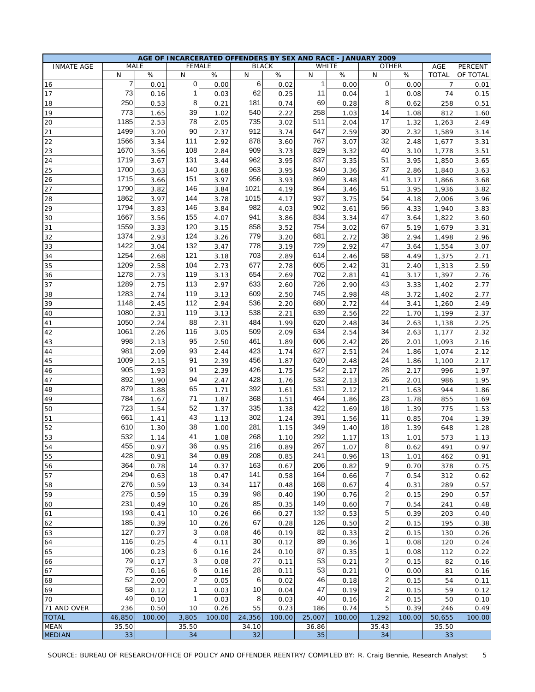|                   |                |        |               |        |        | AGE OF INCARCERATED OFFENDERS BY SEX AND RACE - JANUARY 2009 |              |              |                         |        |                |          |
|-------------------|----------------|--------|---------------|--------|--------|--------------------------------------------------------------|--------------|--------------|-------------------------|--------|----------------|----------|
| <b>INMATE AGE</b> |                | MALE   | <b>FEMALE</b> |        |        | <b>BLACK</b>                                                 |              | <b>WHITE</b> | <b>OTHER</b>            |        | AGE            | PERCENT  |
|                   | N              | $\%$   | N             | %      | N      | $\%$                                                         | N            | $\%$         | N                       | %      | <b>TOTAL</b>   | OF TOTAL |
| 16                | $\overline{7}$ | 0.01   | $\mathbf 0$   | 0.00   | 6      | 0.02                                                         | $\mathbf{1}$ | 0.00         | $\mathbf 0$             | 0.00   | $\overline{7}$ | 0.01     |
| 17                | 73             | 0.16   | 1             | 0.03   | 62     | 0.25                                                         | 11           | 0.04         | 1                       | 0.08   | 74             | 0.15     |
| 18                | 250            | 0.53   | 8             | 0.21   | 181    | 0.74                                                         | 69           | 0.28         | 8                       | 0.62   | 258            | 0.51     |
|                   | 773            |        | 39            |        | 540    |                                                              | 258          |              | 14                      |        |                |          |
| 19                |                | 1.65   |               | 1.02   |        | 2.22                                                         |              | 1.03         |                         | 1.08   | 812            | 1.60     |
| 20                | 1185           | 2.53   | 78            | 2.05   | 735    | 3.02                                                         | 511          | 2.04         | 17                      | 1.32   | 1,263          | 2.49     |
| 21                | 1499           | 3.20   | 90            | 2.37   | 912    | 3.74                                                         | 647          | 2.59         | 30                      | 2.32   | 1,589          | 3.14     |
| 22                | 1566           | 3.34   | 111           | 2.92   | 878    | 3.60                                                         | 767          | 3.07         | 32                      | 2.48   | 1,677          | 3.31     |
| 23                | 1670           | 3.56   | 108           | 2.84   | 909    | 3.73                                                         | 829          | 3.32         | 40                      | 3.10   | 1,778          | 3.51     |
| 24                | 1719           | 3.67   | 131           | 3.44   | 962    | 3.95                                                         | 837          | 3.35         | 51                      | 3.95   | 1,850          | 3.65     |
| 25                | 1700           | 3.63   | 140           | 3.68   | 963    | 3.95                                                         | 840          | 3.36         | 37                      | 2.86   | 1,840          | 3.63     |
| 26                | 1715           | 3.66   | 151           | 3.97   | 956    | 3.93                                                         | 869          | 3.48         | 41                      | 3.17   | 1,866          | 3.68     |
| 27                | 1790           |        | 146           |        | 1021   |                                                              | 864          |              | 51                      |        |                |          |
|                   |                | 3.82   |               | 3.84   |        | 4.19                                                         |              | 3.46         |                         | 3.95   | 1,936          | 3.82     |
| 28                | 1862           | 3.97   | 144           | 3.78   | 1015   | 4.17                                                         | 937          | 3.75         | 54                      | 4.18   | 2,006          | 3.96     |
| 29                | 1794           | 3.83   | 146           | 3.84   | 982    | 4.03                                                         | 902          | 3.61         | 56                      | 4.33   | 1,940          | 3.83     |
| 30                | 1667           | 3.56   | 155           | 4.07   | 941    | 3.86                                                         | 834          | 3.34         | 47                      | 3.64   | 1,822          | 3.60     |
| 31                | 1559           | 3.33   | 120           | 3.15   | 858    | 3.52                                                         | 754          | 3.02         | 67                      | 5.19   | 1,679          | 3.31     |
| 32                | 1374           | 2.93   | 124           | 3.26   | 779    | 3.20                                                         | 681          | 2.72         | 38                      | 2.94   | 1,498          | 2.96     |
| 33                | 1422           | 3.04   | 132           | 3.47   | 778    | 3.19                                                         | 729          | 2.92         | 47                      | 3.64   | 1,554          | 3.07     |
| 34                | 1254           | 2.68   | 121           | 3.18   | 703    | 2.89                                                         | 614          | 2.46         | 58                      | 4.49   | 1,375          | 2.71     |
| 35                | 1209           | 2.58   | 104           | 2.73   | 677    | 2.78                                                         | 605          | 2.42         | 31                      | 2.40   | 1,313          | 2.59     |
| 36                | 1278           | 2.73   | 119           |        | 654    | 2.69                                                         | 702          | 2.81         | 41                      | 3.17   | 1,397          |          |
|                   |                |        |               | 3.13   |        |                                                              |              |              |                         |        |                | 2.76     |
| 37                | 1289           | 2.75   | 113           | 2.97   | 633    | 2.60                                                         | 726          | 2.90         | 43                      | 3.33   | 1,402          | 2.77     |
| 38                | 1283           | 2.74   | 119           | 3.13   | 609    | 2.50                                                         | 745          | 2.98         | 48                      | 3.72   | 1,402          | 2.77     |
| 39                | 1148           | 2.45   | 112           | 2.94   | 536    | 2.20                                                         | 680          | 2.72         | 44                      | 3.41   | 1,260          | 2.49     |
| 40                | 1080           | 2.31   | 119           | 3.13   | 538    | 2.21                                                         | 639          | 2.56         | 22                      | 1.70   | 1,199          | 2.37     |
| 41                | 1050           | 2.24   | 88            | 2.31   | 484    | 1.99                                                         | 620          | 2.48         | 34                      | 2.63   | 1,138          | 2.25     |
| 42                | 1061           | 2.26   | 116           | 3.05   | 509    | 2.09                                                         | 634          | 2.54         | 34                      | 2.63   | 1,177          | 2.32     |
| 43                | 998            | 2.13   | 95            | 2.50   | 461    | 1.89                                                         | 606          | 2.42         | 26                      | 2.01   | 1,093          | 2.16     |
| 44                | 981            | 2.09   | 93            | 2.44   | 423    | 1.74                                                         | 627          | 2.51         | 24                      | 1.86   | 1,074          | 2.12     |
| 45                | 1009           | 2.15   | 91            | 2.39   | 456    | 1.87                                                         | 620          | 2.48         | 24                      | 1.86   | 1,100          | 2.17     |
| 46                | 905            | 1.93   | 91            | 2.39   | 426    | 1.75                                                         | 542          | 2.17         | 28                      | 2.17   | 996            | 1.97     |
| 47                | 892            | 1.90   | 94            | 2.47   | 428    | 1.76                                                         | 532          | 2.13         | 26                      | 2.01   | 986            | 1.95     |
| 48                | 879            | 1.88   | 65            | 1.71   | 392    | 1.61                                                         | 531          | 2.12         | 21                      | 1.63   | 944            | 1.86     |
| 49                | 784            | 1.67   | 71            | 1.87   | 368    | 1.51                                                         | 464          | 1.86         | 23                      | 1.78   | 855            | 1.69     |
|                   | 723            |        | 52            |        | 335    |                                                              | 422          |              | 18                      |        |                |          |
| 50                |                | 1.54   |               | 1.37   |        | 1.38                                                         |              | 1.69         |                         | 1.39   | 775            | 1.53     |
| 51                | 661            | 1.41   | 43            | 1.13   | 302    | 1.24                                                         | 391          | 1.56         | 11                      | 0.85   | 704            | 1.39     |
| 52                | 610            | 1.30   | 38            | 1.00   | 281    | 1.15                                                         | 349          | 1.40         | 18                      | 1.39   | 648            | 1.28     |
| 53                | 532            | 1.14   | 41            | 1.08   | 268    | 1.10                                                         | 292          | 1.17         | 13                      | 1.01   | 573            | 1.13     |
| 54                | 455            | 0.97   | 36            | 0.95   | 216    | 0.89                                                         | 267          | 1.07         | 8                       | 0.62   | 491            | 0.97     |
| 55                | 428            | 0.91   | 34            | 0.89   | 208    | 0.85                                                         | 241          | 0.96         | 13                      | 1.01   | 462            | 0.91     |
| 56                | 364            | 0.78   | 14            | 0.37   | 163    | 0.67                                                         | 206          | 0.82         | 9                       | 0.70   | 378            | 0.75     |
| 57                | 294            | 0.63   | 18            | 0.47   | 141    | 0.58                                                         | 164          | 0.66         | 7                       | 0.54   | 312            | 0.62     |
| 58                | 276            | 0.59   | 13            | 0.34   | 117    | 0.48                                                         | 168          | 0.67         | 4                       | 0.31   | 289            | 0.57     |
| 59                | 275            | 0.59   | 15            | 0.39   | 98     | 0.40                                                         | 190          | 0.76         | $\overline{\mathbf{c}}$ | 0.15   | 290            | 0.57     |
| 60                | 231            | 0.49   | 10            | 0.26   | 85     | 0.35                                                         | 149          | 0.60         | 7                       | 0.54   | 241            | 0.48     |
| 61                | 193            | 0.41   | 10            | 0.26   | 66     | 0.27                                                         | 132          | 0.53         | 5                       | 0.39   | 203            | 0.40     |
|                   | 185            | 0.39   | 10            |        | 67     | 0.28                                                         | 126          | 0.50         | 2                       | 0.15   | 195            |          |
| 62                |                |        |               | 0.26   |        |                                                              |              |              |                         |        |                | 0.38     |
| 63                | 127            | 0.27   | 3             | 0.08   | 46     | 0.19                                                         | 82           | 0.33         | $\boldsymbol{2}$        | 0.15   | 130            | 0.26     |
| 64                | 116            | 0.25   | 4             | 0.11   | 30     | 0.12                                                         | 89           | 0.36         | 1                       | 0.08   | 120            | 0.24     |
| 65                | 106            | 0.23   | 6             | 0.16   | 24     | 0.10                                                         | 87           | 0.35         | 1                       | 0.08   | 112            | 0.22     |
| 66                | 79             | 0.17   | 3             | 0.08   | 27     | 0.11                                                         | 53           | 0.21         | 2                       | 0.15   | 82             | 0.16     |
| 67                | 75             | 0.16   | 6             | 0.16   | 28     | 0.11                                                         | 53           | 0.21         | 0                       | 0.00   | 81             | 0.16     |
| 68                | 52             | 2.00   | 2             | 0.05   | 6      | 0.02                                                         | 46           | 0.18         | $\overline{c}$          | 0.15   | 54             | 0.11     |
| 69                | 58             | 0.12   | 1             | 0.03   | 10     | 0.04                                                         | 47           | 0.19         | $\boldsymbol{2}$        | 0.15   | 59             | 0.12     |
| 70                | 49             | 0.10   | 1             | 0.03   | 8      | 0.03                                                         | 40           | 0.16         | $\overline{\mathbf{c}}$ | 0.15   | 50             | 0.10     |
| 71 AND OVER       | 236            | 0.50   | 10            | 0.26   | 55     | 0.23                                                         | 186          | 0.74         | 5                       | 0.39   | 246            | 0.49     |
| <b>TOTAL</b>      | 46,850         | 100.00 | 3,805         | 100.00 | 24,356 | 100.00                                                       | 25,007       | 100.00       | 1,292                   | 100.00 | 50,655         | 100.00   |
| <b>MEAN</b>       | 35.50          |        | 35.50         |        | 34.10  |                                                              | 36.86        |              | 35.43                   |        | 35.50          |          |
| <b>MEDIAN</b>     | 33             |        | 34            |        | 32     |                                                              | 35           |              | 34                      |        | 33             |          |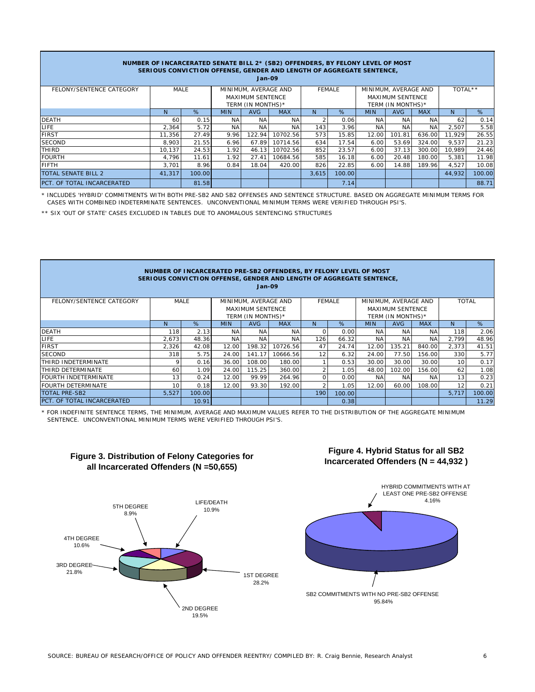|                            |        |        |                      | $Jan-09$                | NUMBER OF INCARCERATED SENATE BILL 2* (SB2) OFFENDERS, BY FELONY LEVEL OF MOST<br>SERIOUS CONVICTION OFFENSE, GENDER AND LENGTH OF AGGREGATE SENTENCE, |       |               |            |                         |            |         |        |
|----------------------------|--------|--------|----------------------|-------------------------|--------------------------------------------------------------------------------------------------------------------------------------------------------|-------|---------------|------------|-------------------------|------------|---------|--------|
| FELONY/SENTENCE CATEGORY   | MALE   |        | MINIMUM, AVERAGE AND |                         |                                                                                                                                                        |       | <b>FFMALE</b> |            | MINIMUM, AVERAGE AND    |            | TOTAL** |        |
|                            |        |        |                      | <b>MAXIMUM SENTENCE</b> |                                                                                                                                                        |       |               |            | <b>MAXIMUM SENTENCE</b> |            |         |        |
|                            |        |        | TERM (IN MONTHS)*    |                         |                                                                                                                                                        |       |               |            | TERM (IN MONTHS)*       |            |         |        |
|                            | N.     | %      | <b>MIN</b>           | <b>AVG</b>              | <b>MAX</b>                                                                                                                                             | N.    | %             | <b>MIN</b> | <b>AVG</b>              | <b>MAX</b> | N.      | %      |
| <b>DEATH</b>               | 60     | 0.15   | <b>NA</b>            | NA                      | NA.                                                                                                                                                    |       | 0.06          | NA.        | NA.                     | <b>NA</b>  | 62      | 0.14   |
| LIFE.                      | 2,364  | 5.72   | <b>NA</b>            | <b>NA</b>               | NA                                                                                                                                                     | 143   | 3.96          | <b>NA</b>  | <b>NA</b>               | <b>NA</b>  | 2,507   | 5.58   |
| <b>FIRST</b>               | 11.356 | 27.49  | 9.96                 | 122.94                  | 10702.56                                                                                                                                               | 573   | 15.85         | 12.00      | 101.81                  | 636.00     | 11.929  | 26.55  |
| <b>SECOND</b>              | 8.903  | 21.55  | 6.96                 | 67.89                   | 10714.56                                                                                                                                               | 634   | 17.54         | 6.00       | 53.69                   | 324.00     | 9,537   | 21.23  |
| THIRD                      | 10.137 | 24.53  | 1.92                 | 46.13                   | 10702.56                                                                                                                                               | 852   | 23.57         | 6.00       | 37.13                   | 300.00     | 10.989  | 24.46  |
| <b>FOURTH</b>              | 4,796  | 11.61  | 1.92                 | 27.41                   | 10684.56                                                                                                                                               | 585   | 16.18         | 6.00       | 20.48                   | 180.00     | 5,381   | 11.98  |
| <b>FIFTH</b>               | 3.701  | 8.96   | 0.84                 | 18.04                   | 420.00                                                                                                                                                 | 826   | 22.85         | 6.00       | 14.88                   | 189.96     | 4,527   | 10.08  |
| <b>TOTAL SENATE BILL 2</b> | 41,317 | 100.00 |                      |                         |                                                                                                                                                        | 3.615 | 100.00        |            |                         |            | 44,932  | 100.00 |
| PCT. OF TOTAL INCARCERATED |        | 81.58  |                      |                         |                                                                                                                                                        |       | 7.14          |            |                         |            |         | 88.71  |

\* INCLUDES 'HYBRID' COMMITMENTS WITH BOTH PRE-SB2 AND SB2 OFFENSES AND SENTENCE STRUCTURE. BASED ON AGGREGATE MINIMUM TERMS FOR CASES WITH COMBINED INDETERMINATE SENTENCES. UNCONVENTIONAL MINIMUM TERMS WERE VERIFIED THROUGH PSI'S.

\*\* SIX 'OUT OF STATE' CASES EXCLUDED IN TABLES DUE TO ANOMALOUS SENTENCING STRUCTURES

|                             |                 |        |                   | $Jan-09$                | NUMBER OF INCARCERATED PRE-SB2 OFFENDERS, BY FELONY LEVEL OF MOST<br>SERIOUS CONVICTION OFFENSE, GENDER AND LENGTH OF AGGREGATE SENTENCE, |          |               |            |                      |            |       |              |
|-----------------------------|-----------------|--------|-------------------|-------------------------|-------------------------------------------------------------------------------------------------------------------------------------------|----------|---------------|------------|----------------------|------------|-------|--------------|
| FELONY/SENTENCE CATEGORY    |                 | MALE   |                   | MINIMUM, AVERAGE AND    |                                                                                                                                           |          | <b>FEMALE</b> |            | MINIMUM, AVERAGE AND |            |       | <b>TOTAL</b> |
|                             |                 |        |                   | <b>MAXIMUM SENTENCE</b> |                                                                                                                                           |          |               |            | MAXIMUM SENTENCE     |            |       |              |
|                             |                 |        | TERM (IN MONTHS)* |                         |                                                                                                                                           |          |               |            | TERM (IN MONTHS)*    |            |       |              |
|                             | N               | %      | <b>MIN</b>        | <b>AVG</b>              | <b>MAX</b>                                                                                                                                | N.       | %             | <b>MIN</b> | <b>AVG</b>           | <b>MAX</b> | N.    | %            |
| <b>DEATH</b>                | 118             | 2.13   | <b>NA</b>         | <b>NA</b>               | <b>NA</b>                                                                                                                                 | $\Omega$ | 0.00          | <b>NA</b>  | <b>NA</b>            | <b>NA</b>  | 118   | 2.06         |
| LIFE                        | 2.673           | 48.36  | <b>NA</b>         | <b>NA</b>               | NA                                                                                                                                        | 126      | 66.32         | <b>NA</b>  | <b>NA</b>            | <b>NA</b>  | 2.799 | 48.96        |
| <b>FIRST</b>                | 2,326           | 42.08  | 12.00             | 198.32                  | 10726.56                                                                                                                                  | 47       | 24.74         | 12.00      | 135.21               | 840.00     | 2,373 | 41.51        |
| <b>SECOND</b>               | 318             | 5.75   | 24.00             | 141.17                  | 10666.56                                                                                                                                  | 12       | 6.32          | 24.00      | 77.50                | 156.00     | 330   | 5.77         |
| THIRD INDETERMINATE         | 9               | 0.16   | 36.00             | 108.00                  | 180.00                                                                                                                                    |          | 0.53          | 30.00      | 30.00                | 30.00      | 10    | 0.17         |
| THIRD DETERMINATE           | 60              | 1.09   | 24.00             | 115.25                  | 360.00                                                                                                                                    |          | 1.05          | 48.00      | 102.00               | 156.00     | 62    | 1.08         |
| <b>FOURTH INDETERMINATE</b> | 13              | 0.24   | 12.00             | 99.99                   | 264.96                                                                                                                                    | $\Omega$ | 0.00          | ΝA         | <b>NA</b>            | <b>NA</b>  | 13    | 0.23         |
| <b>FOURTH DETERMINATE</b>   | 10 <sup>2</sup> | 0.18   | 12.00             | 93.30                   | 192.00                                                                                                                                    |          | 1.05          | 12.00      | 60.00                | 108.00     | 12    | 0.21         |
| <b>TOTAL PRE-SB2</b>        | 5,527           | 100.00 |                   |                         |                                                                                                                                           | 190      | 100.00        |            |                      |            | 5,717 | 100.00       |
| PCT. OF TOTAL INCARCERATED  |                 | 10.91  |                   |                         |                                                                                                                                           |          | 0.38          |            |                      |            |       | 11.29        |

\* FOR INDEFINITE SENTENCE TERMS, THE MINIMUM, AVERAGE AND MAXIMUM VALUES REFER TO THE DISTRIBUTION OF THE AGGREGATE MINIMUM SENTENCE. UNCONVENTIONAL MINIMUM TERMS WERE VERIFIED THROUGH PSI'S.



## **Figure 3. Distribution of Felony Categories for all Incarcerated Offenders (N =50,655)**



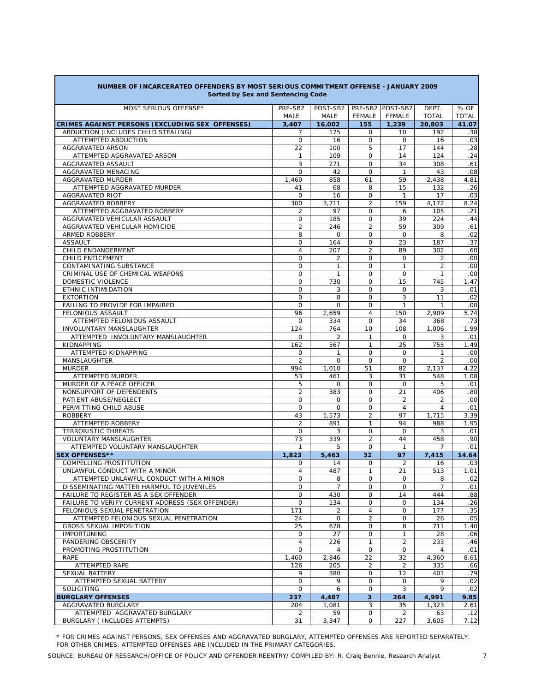| Sorted by Sex and Sentencing Code                          |                              |                       |                     |                  |                       |              |  |  |  |  |
|------------------------------------------------------------|------------------------------|-----------------------|---------------------|------------------|-----------------------|--------------|--|--|--|--|
| MOST SERIOUS OFFENSE*                                      | PRE-SB2                      | POST-SB2              |                     | PRE-SB2 POST-SB2 | DEPT.                 | % OF         |  |  |  |  |
|                                                            | MALE                         | <b>MALE</b>           | <b>FEMALE</b>       | <b>FEMALE</b>    | <b>TOTAL</b>          | <b>TOTAL</b> |  |  |  |  |
| CRIMES AGAINST PERSONS (EXCLUDING SEX OFFENSES)            | 3,407                        | 16,002                | 155                 | 1,239            | 20,803                | 41.07        |  |  |  |  |
| ABDUCTION (INCLUDES CHILD STEALING)<br>ATTEMPTED ABDUCTION | 7<br>$\mathbf 0$             | 175<br>16             | 0<br>0              | 10<br>$\Omega$   | 192<br>16             | .38          |  |  |  |  |
| AGGRAVATED ARSON                                           | 22                           | 100                   | 5                   | 17               | 144                   | .03<br>.28   |  |  |  |  |
| ATTEMPTED AGGRAVATED ARSON                                 | 1                            | 109                   | 0                   | 14               | 124                   | .24          |  |  |  |  |
| AGGRAVATED ASSAULT                                         | 3                            | 271                   | 0                   | 34               | 308                   | .61          |  |  |  |  |
| AGGRAVATED MENACING                                        | $\mathbf 0$                  | 42                    | $\Omega$            | $\mathbf{1}$     | 43                    | .08          |  |  |  |  |
| AGGRAVATED MURDER                                          | 1,460                        | 858                   | 61                  | 59               | 2,438                 | 4.81         |  |  |  |  |
| ATTEMPTED AGGRAVATED MURDER                                | 41                           | 68                    | 8                   | 15               | 132                   | .26          |  |  |  |  |
| <b>AGGRAVATED RIOT</b>                                     | 0                            | 16                    | $\mathbf 0$         | $\mathbf{1}$     | 17                    | .03          |  |  |  |  |
| AGGRAVATED ROBBERY                                         | 300                          | 3,711                 | $\overline{2}$      | 159              | 4,172                 | 8.24         |  |  |  |  |
| ATTEMPTED AGGRAVATED ROBBERY                               | 2                            | 97                    | 0                   | 6                | 105                   | .21          |  |  |  |  |
| AGGRAVATED VEHICULAR ASSAULT                               | $\mathbf 0$                  | 185                   | 0                   | 39               | 224                   | .44          |  |  |  |  |
| AGGRAVATED VEHICULAR HOMICIDE                              | $\overline{2}$               | 246                   | $\overline{2}$      | 59               | 309                   | .61          |  |  |  |  |
| ARMED ROBBERY                                              | 8                            | $\Omega$              | 0                   | $\Omega$         | 8                     | .02          |  |  |  |  |
| <b>ASSAULT</b>                                             | 0<br>$\overline{4}$          | 164                   | 0<br>$\overline{2}$ | 23<br>89         | 187                   | .37          |  |  |  |  |
| CHILD ENDANGERMENT<br>CHILD ENTICEMENT                     | 0                            | 207<br>$\overline{2}$ | 0                   | $\mathbf 0$      | 302<br>$\overline{c}$ | .60<br>.00   |  |  |  |  |
| CONTAMINATING SUBSTANCE                                    | $\mathbf 0$                  | $\mathbf{1}$          | 0                   | 1                | $\overline{c}$        | .00          |  |  |  |  |
| CRIMINAL USE OF CHEMICAL WEAPONS                           | $\mathbf 0$                  | $\mathbf{1}$          | 0                   | $\Omega$         | $\mathbf{1}$          | .00          |  |  |  |  |
| DOMESTIC VIOLENCE                                          | $\circ$                      | 730                   | 0                   | 15               | 745                   | 1.47         |  |  |  |  |
| ETHNIC INTIMIDATION                                        | $\mathbf 0$                  | 3                     | $\mathbf 0$         | $\mathbf 0$      | 3                     | .01          |  |  |  |  |
| <b>EXTORTION</b>                                           | $\mathbf 0$                  | 8                     | 0                   | 3                | 11                    | .02          |  |  |  |  |
| FAILING TO PROVIDE FOR IMPAIRED                            | $\mathbf 0$                  | $\Omega$              | 0                   | 1                | 1                     | .00          |  |  |  |  |
| FELONIOUS ASSAULT                                          | 96                           | 2,659                 | 4                   | 150              | 2,909                 | 5.74         |  |  |  |  |
| ATTEMPTED FELONIOUS ASSAULT                                | $\mathbf 0$                  | 334                   | $\Omega$            | 34               | 368                   | .73          |  |  |  |  |
| INVOLUNTARY MANSLAUGHTER                                   | 124                          | 764                   | 10                  | 108              | 1,006                 | 1.99         |  |  |  |  |
| ATTEMPTED INVOLUNTARY MANSLAUGHTER                         | 0                            | $\overline{2}$        | $\mathbf{1}$        | $\Omega$         | 3                     | .01          |  |  |  |  |
| KIDNAPPING                                                 | 162                          | 567                   | $\mathbf{1}$        | 25               | 755                   | 1.49         |  |  |  |  |
| ATTEMPTED KIDNAPPING                                       | 0                            | $\mathbf{1}$          | 0                   | $\Omega$         | 1                     | .00          |  |  |  |  |
| MANSLAUGHTER                                               | $\overline{2}$               | $\circ$               | $\Omega$            | $\Omega$         | $\overline{c}$        | .00          |  |  |  |  |
| <b>MURDER</b>                                              | 994                          | 1,010                 | 51                  | 82               | 2,137                 | 4.22         |  |  |  |  |
| ATTEMPTED MURDER                                           | 53                           | 461                   | 3                   | 31<br>$\Omega$   | 548                   | 1.08         |  |  |  |  |
| MURDER OF A PEACE OFFICER<br>NONSUPPORT OF DEPENDENTS      | 5<br>$\overline{\mathbf{c}}$ | $\mathbf 0$<br>383    | $\mathbf 0$<br>0    | 21               | 5<br>406              | .01<br>.80   |  |  |  |  |
| PATIENT ABUSE/NEGLECT                                      | 0                            | 0                     | $\mathbf 0$         | $\overline{2}$   | 2                     | .00          |  |  |  |  |
| PERMITTING CHILD ABUSE                                     | $\mathbf 0$                  | $\mathbf 0$           | 0                   | $\overline{4}$   | 4                     | .01          |  |  |  |  |
| <b>ROBBERY</b>                                             | 43                           | 1,573                 | $\overline{c}$      | 97               | 1,715                 | 3.39         |  |  |  |  |
| ATTEMPTED ROBBERY                                          | $\overline{c}$               | 891                   | 1                   | 94               | 988                   | 1.95         |  |  |  |  |
| <b>TERRORISTIC THREATS</b>                                 | 0                            | 3                     | 0                   | $\Omega$         | 3                     | .01          |  |  |  |  |
| VOLUNTARY MANSLAUGHTER                                     | 73                           | 339                   | $\overline{c}$      | 44               | 458                   | .90          |  |  |  |  |
| ATTEMPTED VOLUNTARY MANSLAUGHTER                           | 1                            | 5                     | $\mathbf 0$         | $\mathbf{1}$     | $\overline{7}$        | .01          |  |  |  |  |
| <b>SEX OFFENSES**</b>                                      | 1,823                        | 5,463                 | 32                  | 97               | 7,415                 | 14.64        |  |  |  |  |
| COMPELLING PROSTITUTION                                    | 0                            | 14                    | 0                   | 2                | 16                    | .03          |  |  |  |  |
| UNLAWFUL CONDUCT WITH A MINOR                              | $\overline{4}$               | 487                   | $\mathbf{1}$        | 21               | 513                   | 1.01         |  |  |  |  |
| ATTEMPTED UNLAWFUL CONDUCT WITH A MINOR                    | $\mathbf 0$                  | 8                     | $\mathbf 0$         | 0                | 8                     | .02          |  |  |  |  |
| DISSEMINATING MATTER HARMFUL TO JUVENILES                  | 0                            | 7                     | 0                   | 0                | 7                     | .01          |  |  |  |  |
| FAILURE TO REGISTER AS A SEX OFFENDER                      | $\mathbf 0$                  | 430                   | $\mathsf{O}$        | 14               | 444                   | .88          |  |  |  |  |
| FAILURE TO VERIFY CURRENT ADDRESS (SEX OFFENDER)           | 0                            | 134                   | $\mathsf{O}$        | 0                | 134                   | .26          |  |  |  |  |
| FELONIOUS SEXUAL PENETRATION                               | 171                          | 2                     | 4                   | 0                | 177                   | .35          |  |  |  |  |
| ATTEMPTED FELONIOUS SEXUAL PENETRATION                     | 24                           | 0                     | $\overline{a}$      | $\mathbf 0$      | 26                    | .05          |  |  |  |  |
| <b>GROSS SEXUAL IMPOSITION</b><br><b>IMPORTUNING</b>       | 25<br>0                      | 678<br>27             | 0<br>$\mathsf{O}$   | 8<br>1           | 711<br>28             | 1.40<br>.06  |  |  |  |  |
| PANDERING OBSCENITY                                        | 4                            | 226                   | 1                   | 2                | 233                   | .46          |  |  |  |  |
| PROMOTING PROSTITUTION                                     | $\mathbf 0$                  | 4                     | $\mathbf 0$         | $\mathbf 0$      | 4                     | .01          |  |  |  |  |
| RAPE                                                       | 1,460                        | 2,846                 | 22                  | 32               | 4,360                 | 8.61         |  |  |  |  |
| ATTEMPTED RAPE                                             | 126                          | 205                   | 2                   | 2                | 335                   | .66          |  |  |  |  |
| SEXUAL BATTERY                                             | 9                            | 380                   | 0                   | 12               | 401                   | .79          |  |  |  |  |
| ATTEMPTED SEXUAL BATTERY                                   | 0                            | 9                     | $\mathsf{O}$        | 0                | 9                     | .02          |  |  |  |  |
| SOLICITING                                                 | 0                            | 6                     | 0                   | 3                | 9                     | .02          |  |  |  |  |
| <b>BURGLARY OFFENSES</b>                                   | 237                          | 4,487                 | $\overline{3}$      | 264              | 4,991                 | 9.85         |  |  |  |  |
| AGGRAVATED BURGLARY                                        | 204                          | 1,081                 | 3                   | 35               | 1,323                 | 2.61         |  |  |  |  |
| ATTEMPTED AGGRAVATED BURGLARY                              | $\overline{2}$               | 59                    | 0                   | $\overline{2}$   | 63                    | .12          |  |  |  |  |
| BURGLARY ( INCLUDES ATTEMPTS)                              | 31                           | 3,347                 | 0                   | 227              | 3,605                 | 7.12         |  |  |  |  |

# **NUMBER OF INCARCERATED OFFENDERS BY MOST SERIOUS COMMITMENT OFFENSE - JANUARY 2009**

\* FOR CRIMES AGAINST PERSONS, SEX OFFENSES AND AGGRAVATED BURGLARY, ATTEMPTED OFFENSES ARE REPORTED SEPARATELY. FOR OTHER CRIMES, ATTEMPTED OFFENSES ARE INCLUDED IN THE PRIMARY CATEGORIES.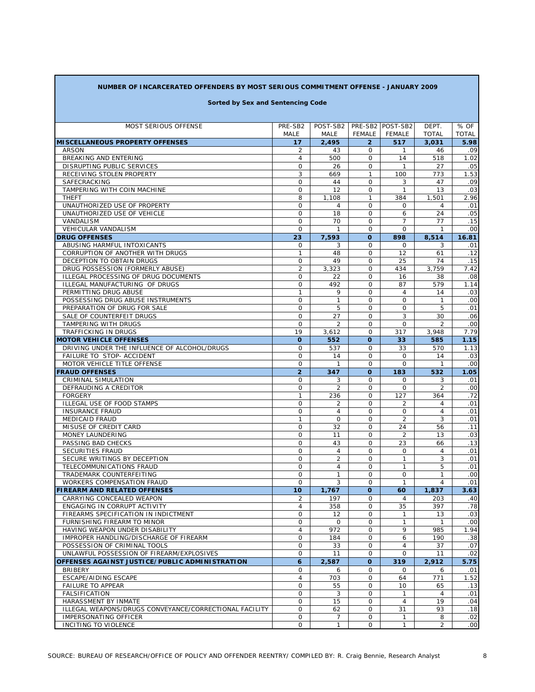## **NUMBER OF INCARCERATED OFFENDERS BY MOST SERIOUS COMMITMENT OFFENSE - JANUARY 2009**

### **Sorted by Sex and Sentencing Code**

| MOST SERIOUS OFFENSE                                   | PRE-SB2        | POST-SB2          |                        | PRE-SB2 POST-SB2     | DEPT.          | % OF             |
|--------------------------------------------------------|----------------|-------------------|------------------------|----------------------|----------------|------------------|
|                                                        | MALE           | MALE              | <b>FEMALE</b>          | FEMALE               | <b>TOTAL</b>   | <b>TOTAL</b>     |
| <b>MISCELLANEOUS PROPERTY OFFENSES</b>                 | 17             | 2,495             | $\overline{2}$         | 517                  | 3,031          | 5.98             |
| <b>ARSON</b>                                           | 2              | 43                | 0                      | $\mathbf{1}$         | 46             | .09              |
| BREAKING AND ENTERING                                  | $\overline{4}$ | 500               | $\mathsf{O}$           | 14                   | 518            | 1.02             |
| DISRUPTING PUBLIC SERVICES                             | 0              | 26                | 0                      | $\mathbf{1}$         | 27             | .05              |
| RECEIVING STOLEN PROPERTY                              | 3              | 669               | $\mathbf{1}$           | 100                  | 773            | 1.53             |
| SAFECRACKING                                           | 0              | 44                | 0                      | 3                    | 47             | .09              |
| TAMPERING WITH COIN MACHINE                            | 0              | 12                | $\mathbf 0$            | $\mathbf{1}$         | 13             | .03              |
| <b>THEFT</b>                                           | 8              | 1,108             | $\mathbf{1}$           | 384                  | 1,501          | 2.96             |
| UNAUTHORIZED USE OF PROPERTY                           | $\mathsf{O}$   | 4                 | $\mathbf 0$            | 0                    | 4              | .01              |
| UNAUTHORIZED USE OF VEHICLE                            | 0              | 18                | $\mathbf 0$            | 6                    | 24             | .05              |
| VANDALISM                                              | $\mathsf{O}$   | 70                | $\mathbf 0$            | $\overline{7}$       | 77             | .15              |
| <b>VEHICULAR VANDALISM</b>                             | 0              | $\mathbf{1}$      | 0                      | $\mathbf 0$          | $\mathbf{1}$   | .00              |
| <b>DRUG OFFENSES</b>                                   | 23             | 7,593             | $\Omega$               | 898                  | 8,514          | 16.81            |
| ABUSING HARMFUL INTOXICANTS                            | $\mathsf{O}$   | 3                 | $\mathbf 0$            | 0                    | 3              | .01              |
| CORRUPTION OF ANOTHER WITH DRUGS                       | $\mathbf{1}$   | 48                | $\mathbf 0$            | 12                   | 61             | .12              |
| DECEPTION TO OBTAIN DRUGS                              | 0              | 49                | $\mathbf 0$            | 25                   | 74             | .15              |
| DRUG POSSESSION (FORMERLY ABUSE)                       | $\overline{2}$ | 3,323             | $\mathbf 0$            | 434                  | 3,759          | 7.42             |
| ILLEGAL PROCESSING OF DRUG DOCUMENTS                   | $\circ$        | 22                | $\mathbf 0$            | 16                   | 38             | .08              |
| ILLEGAL MANUFACTURING OF DRUGS                         | $\circ$        | 492               | $\mathbf 0$            | 87                   | 579            | 1.14             |
| PERMITTING DRUG ABUSE                                  | $\mathbf{1}$   | 9                 | $\mathbf 0$            | $\overline{4}$       | 14             | .03              |
| POSSESSING DRUG ABUSE INSTRUMENTS                      | $\mathsf{O}$   | $\mathbf{1}$      | $\mathbf 0$            | $\mathbf 0$          | $\mathbf{1}$   | .00              |
| PREPARATION OF DRUG FOR SALE                           | $\mathsf{O}$   | 5                 | $\mathbf 0$            | $\mathbf 0$          | 5              | .01              |
| SALE OF COUNTERFEIT DRUGS                              | $\mathsf{O}$   | 27                | $\mathbf 0$            | 3                    | 30             | .06              |
| TAMPERING WITH DRUGS                                   | $\mathsf{O}$   | 2                 | $\mathbf 0$            | $\mathbf 0$          | 2              | .00              |
| TRAFFICKING IN DRUGS                                   | 19             | 3,612             | $\mathbf 0$            | 317                  | 3,948          | 7.79             |
| <b>MOTOR VEHICLE OFFENSES</b>                          | $\mathbf{o}$   | 552               | $\mathbf{o}$           | 33                   | 585            | 1.15             |
| DRIVING UNDER THE INFLUENCE OF ALCOHOL/DRUGS           | $\mathsf{O}$   | 537               | $\circ$                | 33                   | 570            | 1.13             |
| FAILURE TO STOP- ACCIDENT                              | $\mathbf 0$    | 14                | $\mathbf 0$            | $\mathbf 0$          | 14             | .03              |
| MOTOR VEHICLE TITLE OFFENSE                            | $\mathsf{O}$   | $\mathbf{1}$      | $\circ$                | $\circ$              | $\mathbf{1}$   | .00              |
| <b>FRAUD OFFENSES</b>                                  | $\overline{2}$ | 347               | $\mathbf{o}$           | 183                  | 532            | 1.05             |
| <b>CRIMINAL SIMULATION</b>                             | 0              | 3                 | $\mathbf 0$            | $\mathbf 0$          | 3              | .01              |
| DEFRAUDING A CREDITOR                                  | 0              | 2                 | $\circ$                | $\circ$              | $\overline{2}$ | .00              |
| <b>FORGERY</b>                                         | $\mathbf{1}$   | 236               | $\mathbf 0$            | 127                  | 364            | .72              |
| ILLEGAL USE OF FOOD STAMPS                             | $\circ$        | $\overline{2}$    | $\circ$                | $\overline{2}$       | 4              | .01              |
| <b>INSURANCE FRAUD</b>                                 | $\circ$        | $\overline{4}$    | $\mathbf 0$            | $\mathbf 0$          | $\overline{4}$ | .01              |
| <b>MEDICAID FRAUD</b>                                  | $\mathbf{1}$   | $\mathbf 0$<br>32 | $\circ$                | $\overline{2}$<br>24 | 3<br>56        | .01<br>.11       |
| MISUSE OF CREDIT CARD<br>MONEY LAUNDERING              | 0<br>$\circ$   | 11                | $\mathbf 0$<br>$\circ$ | $\overline{2}$       | 13             | .03              |
| PASSING BAD CHECKS                                     | $\mathbf 0$    | 43                | $\Omega$               | 23                   | 66             | .13              |
| SECURITIES FRAUD                                       | $\mathbf 0$    | $\overline{4}$    | $\Omega$               | $\mathbf 0$          | 4              | .01              |
| SECURE WRITINGS BY DECEPTION                           | $\mathbf 0$    | $\overline{2}$    | $\Omega$               | $\mathbf{1}$         | 3              | .01              |
| TELECOMMUNICATIONS FRAUD                               | $\mathbf 0$    | $\overline{4}$    | $\circ$                | $\mathbf{1}$         | 5              | .01              |
| TRADEMARK COUNTERFEITING                               | $\mathbf 0$    | $\mathbf{1}$      | $\mathbf 0$            | $\circ$              | $\mathbf{1}$   | .00              |
| <b>WORKERS COMPENSATION FRAUD</b>                      | $\mathbf 0$    | 3                 | $\circ$                | $\mathbf{1}$         | $\overline{4}$ | .01              |
| <b>FIREARM AND RELATED OFFENSES</b>                    | 10             | 1.767             | O                      | 60                   | 1,837          | 3.63             |
| CARRYING CONCEALED WEAPON                              | $\overline{2}$ | 197               | $\mathbf 0$            | 4                    | 203            | .40              |
| ENGAGING IN CORRUPT ACTIVITY                           | $\overline{4}$ | 358               | $\mathbf 0$            | 35                   | 397            | .78              |
| FIREARMS SPECIFICATION IN INDICTMENT                   | 0              | 12                | 0                      | 1                    | 13             | .03              |
| FURNISHING FIREARM TO MINOR                            | 0              | $\mathbf 0$       | $\mathbf 0$            | $\mathbf{1}$         | 1              | .00              |
| HAVING WEAPON UNDER DISABILITY                         | 4              | 972               | 0                      | 9                    | 985            | 1.94             |
| IMPROPER HANDLING/DISCHARGE OF FIREARM                 | 0              | 184               | $\mathbf 0$            | 6                    | 190            | .38              |
| POSSESSION OF CRIMINAL TOOLS                           | $\circ$        | 33                | $\mathbf 0$            | $\overline{4}$       | 37             | .07              |
| UNLAWFUL POSSESSION OF FIREARM/EXPLOSIVES              | $\mathsf{O}$   | 11                | $\mathbf 0$            | $\mathbf 0$          | 11             | .02              |
| OFFENSES AGAINST JUSTICE/PUBLIC ADMINISTRATION         | 6              | 2,587             | O                      | 319                  | 2,912          | 5.75             |
| <b>BRIBERY</b>                                         | 0              | 6                 | 0                      | $\mathbf 0$          | 6              | .01              |
| ESCAPE/AIDING ESCAPE                                   | 4              | 703               | 0                      | 64                   | 771            | 1.52             |
| <b>FAILURE TO APPEAR</b>                               | 0              | 55                | 0                      | 10                   | 65             | .13              |
| <b>FALSIFICATION</b>                                   | 0              | 3                 | $\mathsf{O}$           | $\mathbf{1}$         | 4              | .01              |
| HARASSMENT BY INMATE                                   | 0              | 15                | 0                      | 4                    | 19             | .04              |
| ILLEGAL WEAPONS/DRUGS CONVEYANCE/CORRECTIONAL FACILITY | 0              | 62                | $\mathsf{O}$           | 31                   | 93             | .18              |
| IMPERSONATING OFFICER                                  | 0              | 7                 | 0                      | $\mathbf{1}$         | 8              | .02              |
| INCITING TO VIOLENCE                                   | $\mathsf{O}$   | $\mathbf{1}$      | $\mathsf{O}$           | $\mathbf{1}$         | $\overline{a}$ | .00 <sub>1</sub> |